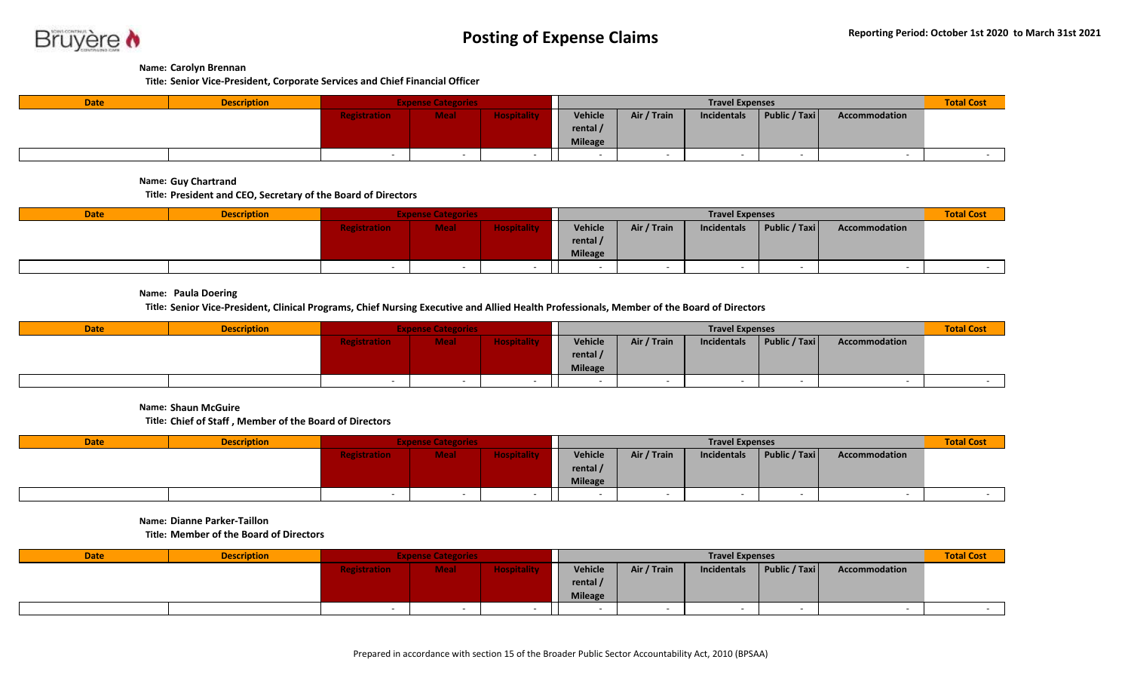

## **Name: Carolyn Brennan**

**Title: Senior Vice-President, Corporate Services and Chief Financial Officer**

| <b>Date</b> | <b>Description</b> | <b>Expense Categories</b> |             |                    |                | <b>Total Cost</b> |             |               |                          |  |
|-------------|--------------------|---------------------------|-------------|--------------------|----------------|-------------------|-------------|---------------|--------------------------|--|
|             |                    | <b>Registration</b>       | <b>Meal</b> | <b>Hospitality</b> | Vehicle        | Air / Train       | Incidentals | Public / Taxi | Accommodation            |  |
|             |                    |                           |             |                    | rental /       |                   |             |               |                          |  |
|             |                    |                           |             |                    | <b>Mileage</b> |                   |             |               |                          |  |
|             |                    |                           |             |                    |                |                   |             |               | $\overline{\phantom{a}}$ |  |

**Name: Guy Chartrand**

**Title: President and CEO, Secretary of the Board of Directors**

| <b>Date</b> | <b>Description</b> | <b>Expense Categories</b> |             |                    |                | <b>Total Cost</b> |             |               |               |  |
|-------------|--------------------|---------------------------|-------------|--------------------|----------------|-------------------|-------------|---------------|---------------|--|
|             |                    | <b>Registration</b>       | <b>Meal</b> | <b>Hospitality</b> | Vehicle        | Air / Train       | Incidentals | Public / Taxi | Accommodation |  |
|             |                    |                           |             |                    | rental /       |                   |             |               |               |  |
|             |                    |                           |             |                    | <b>Mileage</b> |                   |             |               |               |  |
|             |                    |                           |             |                    |                |                   |             |               |               |  |

**Name: Paula Doering**

**Title: Senior Vice-President, Clinical Programs, Chief Nursing Executive and Allied Health Professionals, Member of the Board of Directors**

| <b>Date</b> | <b>Description</b> | <b>Expense Categories</b> |             |                    |                   | <b>Total Cost</b> |             |                          |               |  |
|-------------|--------------------|---------------------------|-------------|--------------------|-------------------|-------------------|-------------|--------------------------|---------------|--|
|             |                    | <b>Registration</b>       | <b>Meal</b> | <b>Hospitality</b> | <b>Vehicle</b>    | Air / Train       | Incidentals | Public / Taxi            | Accommodation |  |
|             |                    |                           |             |                    | rental $\sqrt{ }$ |                   |             |                          |               |  |
|             |                    |                           |             |                    | <b>Mileage</b>    |                   |             |                          |               |  |
|             |                    |                           |             |                    |                   |                   |             | $\overline{\phantom{a}}$ |               |  |

**Name: Shaun McGuire**

**Title: Chief of Staff , Member of the Board of Directors**

| <b>Date</b> | <b>Description</b> |                     | <b>Expense Categories</b> |                    |                | <b>Travel Expenses</b> |             |               |               |  |
|-------------|--------------------|---------------------|---------------------------|--------------------|----------------|------------------------|-------------|---------------|---------------|--|
|             |                    | <b>Registration</b> | <b>Meal</b>               | <b>Hospitality</b> | <b>Vehicle</b> | Air / Train            | Incidentals | Public / Taxi | Accommodation |  |
|             |                    |                     |                           |                    | rental /       |                        |             |               |               |  |
|             |                    |                     |                           |                    | <b>Mileage</b> |                        |             |               |               |  |
|             |                    |                     |                           |                    |                |                        |             |               |               |  |

**Name: Dianne Parker-Taillon**

**Title: Member of the Board of Directors**

| <b>Date</b> | <b>Description</b> | <b>Expense Categories</b> |             |                    | <b>Travel Expenses</b> |             |             |               |               | <b>Total Cost</b> |
|-------------|--------------------|---------------------------|-------------|--------------------|------------------------|-------------|-------------|---------------|---------------|-------------------|
|             |                    | <b>Registration</b>       | <b>Meal</b> | <b>Hospitality</b> | Vehicle                | Air / Train | Incidentals | Public / Taxi | Accommodation |                   |
|             |                    |                           |             |                    | rental $/$             |             |             |               |               |                   |
|             |                    |                           |             |                    | <b>Mileage</b>         |             |             |               |               |                   |
|             |                    |                           |             |                    |                        |             |             |               |               |                   |